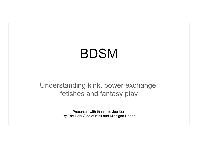# BDSM

### Understanding kink, power exchange, fetishes and fantasy play

Presented with thanks to Joe Kort By The Dark Side of Kink and Michigan Ropes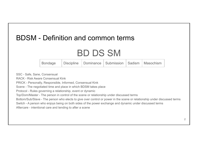### BDSM - Definition and common terms

## BD DS SM

| Bondage |  | Discipline   Dominance   Submission   Sadism   Masochism |  |
|---------|--|----------------------------------------------------------|--|
|         |  |                                                          |  |

SSC - Safe, Sane, Consensual

RACK - Risk Aware Consensual Kink

PRICK - Personally, Responsible, Informed, Consensual Kink

Scene - The negotiated time and place in which BDSM takes place

Protocol - Rules governing a relationship, event or dynamic

Top/Dom/Master - The person in control of the scene or relationship under discussed terms

Bottom/Sub/Slave - The person who elects to give over control or power in the scene or relationship under discussed terms

Switch - A person who enjoys being on both sides of the power exchange and dynamic under discussed terms

Aftercare - intentional care and tending to after a scene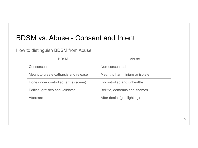### BDSM vs. Abuse - Consent and Intent

#### How to distinguish BDSM from Abuse

| <b>BDSM</b>                           | Abuse                            |  |  |
|---------------------------------------|----------------------------------|--|--|
| Consensual                            | Non-consensual                   |  |  |
| Meant to create catharsis and release | Meant to harm, injure or isolate |  |  |
| Done under controlled terms (scene)   | Uncontrolled and unhealthy       |  |  |
| Edifies, gratifies and validates      | Belittle, demeans and shames     |  |  |
| Aftercare                             | After denial (gas lighting)      |  |  |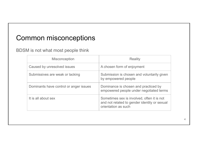### Common misconceptions

#### BDSM is not what most people think

| <b>Misconception</b>                   | Reality                                                                                                           |  |
|----------------------------------------|-------------------------------------------------------------------------------------------------------------------|--|
| Caused by unresolved issues            | A chosen form of enjoyment                                                                                        |  |
| Submissives are weak or lacking        | Submission is chosen and voluntarily given<br>by empowered people                                                 |  |
| Dominants have control or anger issues | Dominance is chosen and practiced by<br>empowered people under negotiated terms                                   |  |
| It is all about sex                    | Sometimes sex is involved, often it is not<br>and not related to gender identity or sexual<br>orientation as such |  |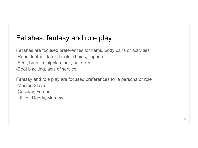### Fetishes, fantasy and role play

Fetishes are focused preferences for items, body parts or activities -Rope, leather, latex, boots, chains, lingerie -Feet, breasts, nipples, hair, buttocks -Boot blacking, acts of service

Fantasy and role play are focused preferences for a persona or role -Master, Slave -Cosplay, Furries

-Littles, Daddy, Mommy